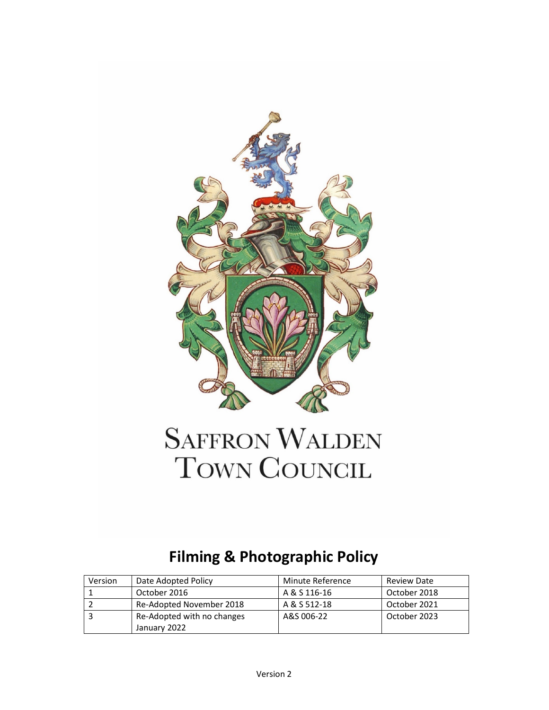

# **SAFFRON WALDEN** TOWN COUNCIL

## **Filming & Photographic Policy**

| Version | Date Adopted Policy        | Minute Reference | <b>Review Date</b> |
|---------|----------------------------|------------------|--------------------|
|         | October 2016               | A & S 116-16     | October 2018       |
|         | Re-Adopted November 2018   | A & S 512-18     | October 2021       |
|         | Re-Adopted with no changes | A&S 006-22       | October 2023       |
|         | January 2022               |                  |                    |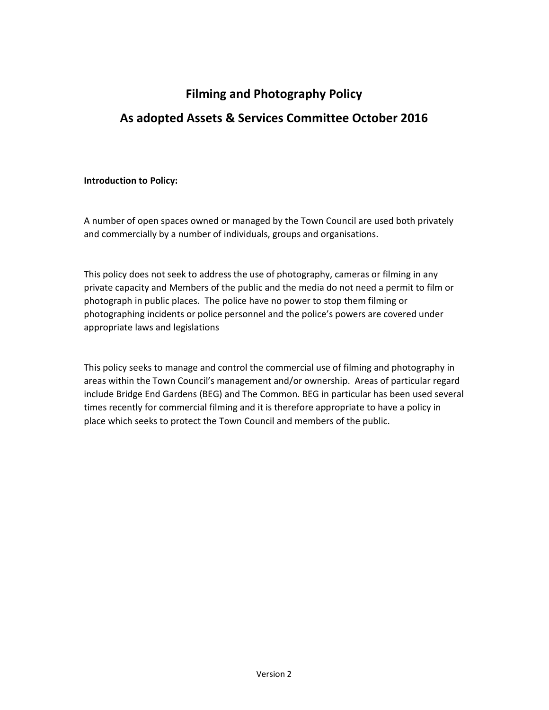### **Filming and Photography Policy As adopted Assets & Services Committee October 2016**

#### **Introduction to Policy:**

A number of open spaces owned or managed by the Town Council are used both privately and commercially by a number of individuals, groups and organisations.

This policy does not seek to address the use of photography, cameras or filming in any private capacity and Members of the public and the media do not need a permit to film or photograph in public places. The police have no power to stop them filming or photographing incidents or police personnel and the police's powers are covered under appropriate laws and legislations

This policy seeks to manage and control the commercial use of filming and photography in areas within the Town Council's management and/or ownership. Areas of particular regard include Bridge End Gardens (BEG) and The Common. BEG in particular has been used several times recently for commercial filming and it is therefore appropriate to have a policy in place which seeks to protect the Town Council and members of the public.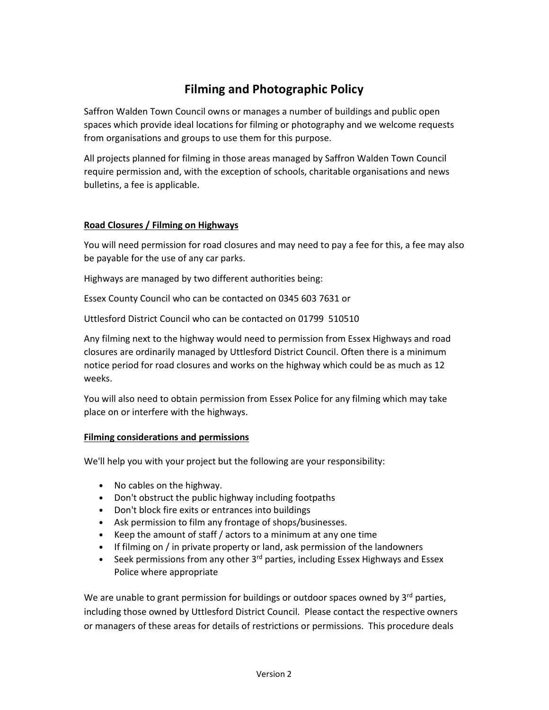### **Filming and Photographic Policy**

Saffron Walden Town Council owns or manages a number of buildings and public open spaces which provide ideal locations for filming or photography and we welcome requests from organisations and groups to use them for this purpose.

All projects planned for filming in those areas managed by Saffron Walden Town Council require permission and, with the exception of schools, charitable organisations and news bulletins, a fee is applicable.

#### **Road Closures / Filming on Highways**

You will need permission for road closures and may need to pay a fee for this, a fee may also be payable for the use of any car parks.

Highways are managed by two different authorities being:

Essex County Council who can be contacted on 0345 603 7631 or

Uttlesford District Council who can be contacted on 01799 510510

Any filming next to the highway would need to permission from Essex Highways and road closures are ordinarily managed by Uttlesford District Council. Often there is a minimum notice period for road closures and works on the highway which could be as much as 12 weeks.

You will also need to obtain permission from Essex Police for any filming which may take place on or interfere with the highways.

#### **Filming considerations and permissions**

We'll help you with your project but the following are your responsibility:

- No cables on the highway.
- Don't obstruct the public highway including footpaths
- Don't block fire exits or entrances into buildings
- Ask permission to film any frontage of shops/businesses.
- Keep the amount of staff / actors to a minimum at any one time
- If filming on / in private property or land, ask permission of the landowners
- Seek permissions from any other 3<sup>rd</sup> parties, including Essex Highways and Essex Police where appropriate

We are unable to grant permission for buildings or outdoor spaces owned by  $3<sup>rd</sup>$  parties, including those owned by Uttlesford District Council. Please contact the respective owners or managers of these areas for details of restrictions or permissions. This procedure deals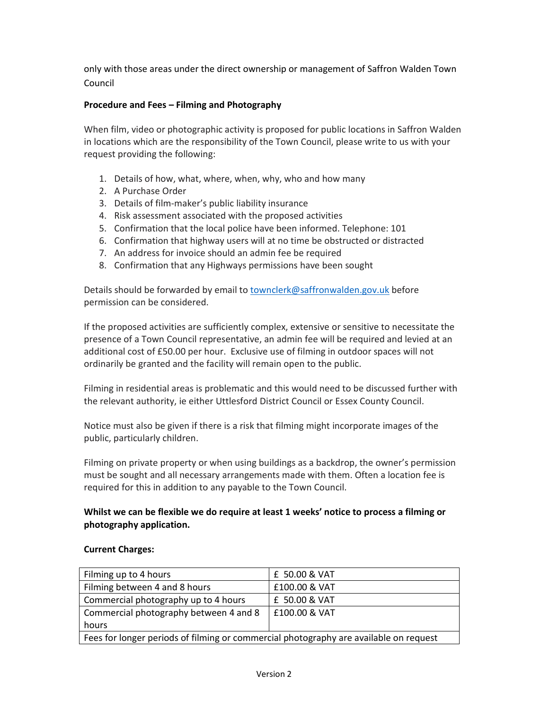only with those areas under the direct ownership or management of Saffron Walden Town Council

#### **Procedure and Fees – Filming and Photography**

When film, video or photographic activity is proposed for public locations in Saffron Walden in locations which are the responsibility of the Town Council, please write to us with your request providing the following:

- 1. Details of how, what, where, when, why, who and how many
- 2. A Purchase Order
- 3. Details of film-maker's public liability insurance
- 4. Risk assessment associated with the proposed activities
- 5. Confirmation that the local police have been informed. Telephone: 101
- 6. Confirmation that highway users will at no time be obstructed or distracted
- 7. An address for invoice should an admin fee be required
- 8. Confirmation that any Highways permissions have been sought

Details should be forwarded by email to townclerk@saffronwalden.gov.uk before permission can be considered.

If the proposed activities are sufficiently complex, extensive or sensitive to necessitate the presence of a Town Council representative, an admin fee will be required and levied at an additional cost of £50.00 per hour. Exclusive use of filming in outdoor spaces will not ordinarily be granted and the facility will remain open to the public.

Filming in residential areas is problematic and this would need to be discussed further with the relevant authority, ie either Uttlesford District Council or Essex County Council.

Notice must also be given if there is a risk that filming might incorporate images of the public, particularly children.

Filming on private property or when using buildings as a backdrop, the owner's permission must be sought and all necessary arrangements made with them. Often a location fee is required for this in addition to any payable to the Town Council.

#### **Whilst we can be flexible we do require at least 1 weeks' notice to process a filming or photography application.**

#### **Current Charges:**

| Filming up to 4 hours                                                                 | £ 50.00 & VAT |  |
|---------------------------------------------------------------------------------------|---------------|--|
| Filming between 4 and 8 hours                                                         | £100.00 & VAT |  |
| Commercial photography up to 4 hours                                                  | £ 50.00 & VAT |  |
| Commercial photography between 4 and 8                                                | E100.00 & VAT |  |
| hours                                                                                 |               |  |
| Fees for longer periods of filming or commercial photography are available on request |               |  |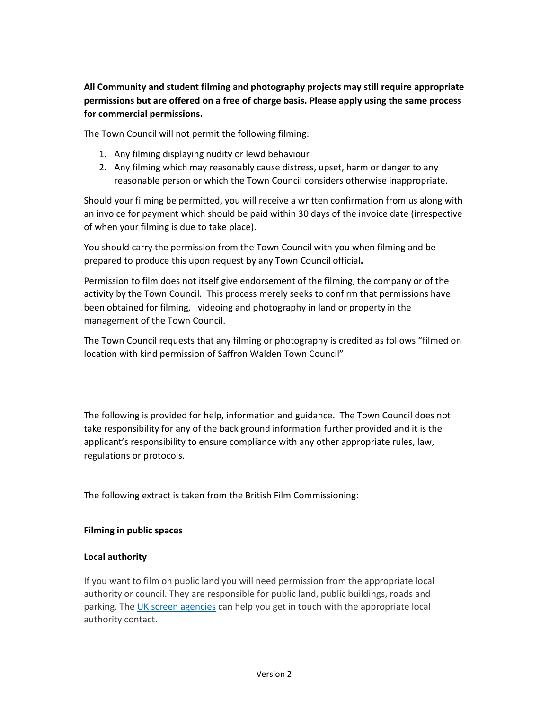**All Community and student filming and photography projects may still require appropriate permissions but are offered on a free of charge basis. Please apply using the same process for commercial permissions.** 

The Town Council will not permit the following filming:

- 1. Any filming displaying nudity or lewd behaviour
- 2. Any filming which may reasonably cause distress, upset, harm or danger to any reasonable person or which the Town Council considers otherwise inappropriate.

Should your filming be permitted, you will receive a written confirmation from us along with an invoice for payment which should be paid within 30 days of the invoice date (irrespective of when your filming is due to take place).

You should carry the permission from the Town Council with you when filming and be prepared to produce this upon request by any Town Council official**.** 

Permission to film does not itself give endorsement of the filming, the company or of the activity by the Town Council. This process merely seeks to confirm that permissions have been obtained for filming, videoing and photography in land or property in the management of the Town Council.

The Town Council requests that any filming or photography is credited as follows "filmed on location with kind permission of Saffron Walden Town Council"

The following is provided for help, information and guidance. The Town Council does not take responsibility for any of the back ground information further provided and it is the applicant's responsibility to ensure compliance with any other appropriate rules, law, regulations or protocols.

The following extract is taken from the British Film Commissioning:

#### **Filming in public spaces**

#### **Local authority**

If you want to film on public land you will need permission from the appropriate local authority or council. They are responsible for public land, public buildings, roads and parking. The UK screen agencies can help you get in touch with the appropriate local authority contact.